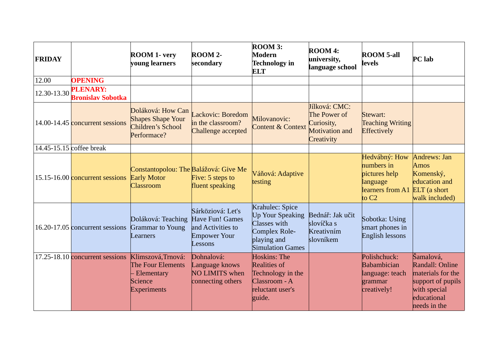| <b>FRIDAY</b> |                                                  | <b>ROOM 1- very</b><br>young learners                                                  | ROOM 2-<br>secondary                                                                        | ROOM 3:<br><b>Modern</b><br><b>Technology</b> in<br><b>ELT</b>                                                        | ROOM 4:<br>university,<br>language school                                   | <b>ROOM 5-all</b><br><b>levels</b>                                                      | <b>PC</b> lab                                                                                                         |
|---------------|--------------------------------------------------|----------------------------------------------------------------------------------------|---------------------------------------------------------------------------------------------|-----------------------------------------------------------------------------------------------------------------------|-----------------------------------------------------------------------------|-----------------------------------------------------------------------------------------|-----------------------------------------------------------------------------------------------------------------------|
| 12.00         | <b>OPENING</b>                                   |                                                                                        |                                                                                             |                                                                                                                       |                                                                             |                                                                                         |                                                                                                                       |
| 12.30-13.30   | <b>PLENARY:</b><br><b>Bronislay Sobotka</b>      |                                                                                        |                                                                                             |                                                                                                                       |                                                                             |                                                                                         |                                                                                                                       |
|               | 14.00-14.45 concurrent sessions                  | Doláková: How Can<br><b>Shapes Shape Your</b><br>Children's School<br>Performace?      | Lackovic: Boredom<br>in the classroom?<br>Challenge accepted                                | Milovanovic:<br><b>Content &amp; Context</b>                                                                          | Jílková: CMC:<br>The Power of<br>Curiosity,<br>Motivation and<br>Creativity | Stewart:<br><b>Teaching Writing</b><br>Effectively                                      |                                                                                                                       |
|               | 14.45-15.15 coffee break                         |                                                                                        |                                                                                             |                                                                                                                       |                                                                             |                                                                                         |                                                                                                                       |
|               | 15.15-16.00 <b>concurrent sessions</b>           | Constantopolou: The Balážová: Give Me<br><b>Early Motor</b><br><b>Classroom</b>        | Five: 5 steps to<br>fluent speaking                                                         | Váňová: Adaptive<br>testing                                                                                           |                                                                             | Hedvábný: How<br>numbers in<br>pictures help<br>language<br>learners from A1<br>to $C2$ | Andrews: Jan<br>Amos<br>Komenský,<br>education and<br>$ELT$ (a short<br>walk included)                                |
|               | 16.20-17.05 concurrent sessions Grammar to Young | Doláková: Teaching<br>Learners                                                         | Sárköziová: Let's<br>Have Fun! Games<br>and Activities to<br><b>Empower Your</b><br>Lessons | Krahulec: Spice<br><b>Up Your Speaking</b><br>Classes with<br>Complex Role-<br>playing and<br><b>Simulation Games</b> | Bednář: Jak učit<br>slovíčka s<br>Kreativním<br>slovníkem                   | Sobotka: Using<br>smart phones in<br>English lessons                                    |                                                                                                                       |
|               | 17.25-18.10 concurrent sessions                  | Klimszová, Trnová:<br>The Four Elements<br>Elementary<br>Science<br><b>Experiments</b> | Dohnalová:<br>Language knows<br><b>NO LIMITS when</b><br>connecting others                  | <b>Hoskins: The</b><br><b>Realities of</b><br>Technology in the<br>Classroom - A<br>reluctant user's<br>guide.        |                                                                             | Polishchuck:<br>Babambician<br>language: teach<br>grammar<br>creatively!                | Šamalová,<br>Randall: Online<br>materials for the<br>support of pupils<br>with special<br>educational<br>needs in the |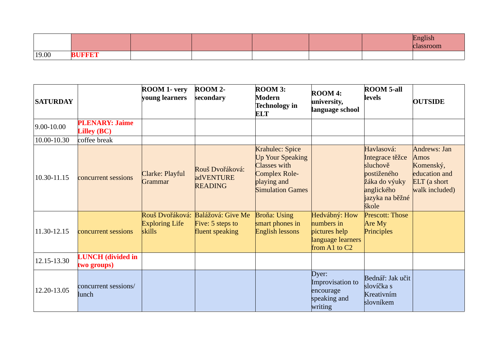|       |    |  |  | $-$ 1611911<br>assroom |
|-------|----|--|--|------------------------|
| 19.00 | вι |  |  |                        |

| <b>SATURDAY</b> |                                             | <b>ROOM 1- very</b><br>young learners | ROOM 2-<br>secondary                                                     | ROOM 3:<br><b>Modern</b><br><b>Technology</b> in<br><b>ELT</b>                                                               | <b>ROOM 4:</b><br>university,<br>language school                                     | <b>ROOM 5-all</b><br>levels                                                                                         | <b>OUTSIDE</b>                                                                       |
|-----------------|---------------------------------------------|---------------------------------------|--------------------------------------------------------------------------|------------------------------------------------------------------------------------------------------------------------------|--------------------------------------------------------------------------------------|---------------------------------------------------------------------------------------------------------------------|--------------------------------------------------------------------------------------|
| $9.00 - 10.00$  | <b>PLENARY: Jaime</b><br><b>Lilley (BC)</b> |                                       |                                                                          |                                                                                                                              |                                                                                      |                                                                                                                     |                                                                                      |
| 10.00-10.30     | coffee break                                |                                       |                                                                          |                                                                                                                              |                                                                                      |                                                                                                                     |                                                                                      |
| 10.30-11.15     | concurrent sessions                         | Clarke: Playful<br>Grammar            | Rouš Dvořáková:<br>adVENTURE<br><b>READING</b>                           | Krahulec: Spice<br><b>Up Your Speaking</b><br>Classes with<br><b>Complex Role-</b><br>playing and<br><b>Simulation Games</b> |                                                                                      | Havlasová:<br>Integrace těžce<br>sluchově<br>postiženého<br>žáka do výuky<br>anglického<br>jazyka na běžné<br>škole | Andrews: Jan<br>Amos<br>Komenský,<br>education and<br>ELT (a short<br>walk included) |
| 11.30-12.15     | concurrent sessions                         | <b>Exploring Life</b><br>skills       | Rouš Dvořáková: Balážová: Give Me<br>Five: 5 steps to<br>fluent speaking | <b>Broňa: Using</b><br>smart phones in<br><b>English lessons</b>                                                             | Hedvábný: How<br>numbers in<br>pictures help<br>language learners<br>from A1 to $C2$ | <b>Prescott: Those</b><br>Are $My$<br>Principles                                                                    |                                                                                      |
| 12.15-13.30     | <b>LUNCH</b> (divided in<br>two groups)     |                                       |                                                                          |                                                                                                                              |                                                                                      |                                                                                                                     |                                                                                      |
| 12.20-13.05     | concurrent sessions/<br>lunch               |                                       |                                                                          |                                                                                                                              | Dyer:<br>Improvisation to<br>encourage<br>speaking and<br>writing                    | Bednář: Jak učit<br>slovíčka s<br>Kreativním<br>slovníkem                                                           |                                                                                      |